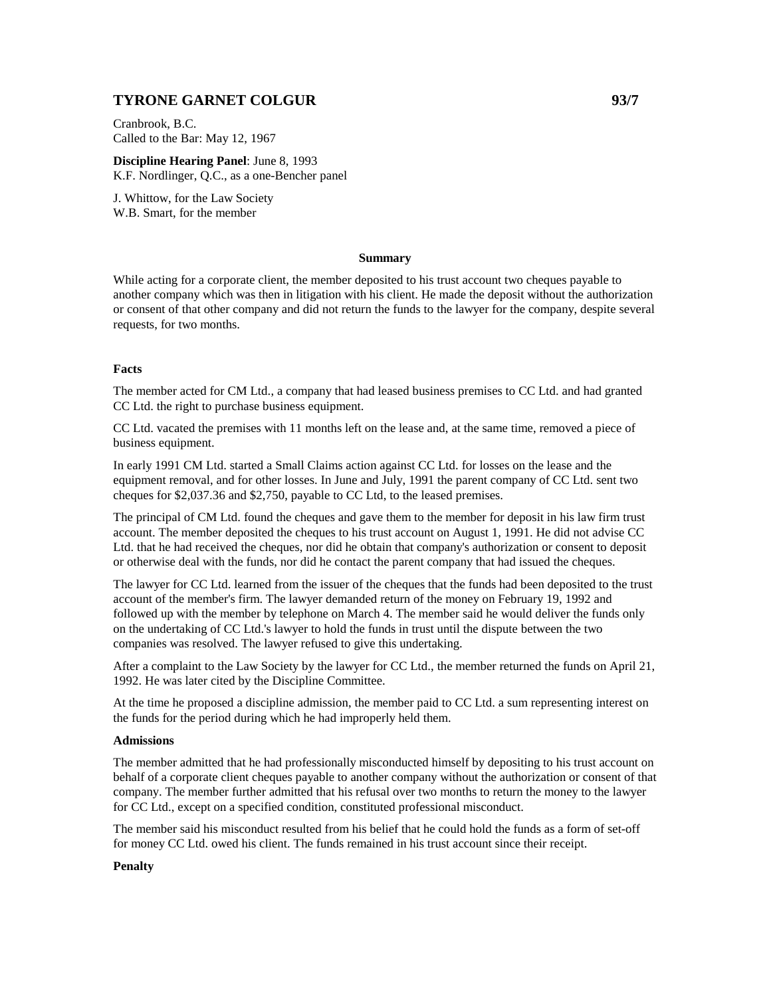# **TYRONE GARNET COLGUR 6377**

Cranbrook, B.C. Called to the Bar: May 12, 1967

**Discipline Hearing Panel**: June 8, 1993 K.F. Nordlinger, Q.C., as a one-Bencher panel

J. Whittow, for the Law Society W.B. Smart, for the member

# **Summary**

While acting for a corporate client, the member deposited to his trust account two cheques payable to another company which was then in litigation with his client. He made the deposit without the authorization or consent of that other company and did not return the funds to the lawyer for the company, despite several requests, for two months.

## **Facts**

The member acted for CM Ltd., a company that had leased business premises to CC Ltd. and had granted CC Ltd. the right to purchase business equipment.

CC Ltd. vacated the premises with 11 months left on the lease and, at the same time, removed a piece of business equipment.

In early 1991 CM Ltd. started a Small Claims action against CC Ltd. for losses on the lease and the equipment removal, and for other losses. In June and July, 1991 the parent company of CC Ltd. sent two cheques for \$2,037.36 and \$2,750, payable to CC Ltd, to the leased premises.

The principal of CM Ltd. found the cheques and gave them to the member for deposit in his law firm trust account. The member deposited the cheques to his trust account on August 1, 1991. He did not advise CC Ltd. that he had received the cheques, nor did he obtain that company's authorization or consent to deposit or otherwise deal with the funds, nor did he contact the parent company that had issued the cheques.

The lawyer for CC Ltd. learned from the issuer of the cheques that the funds had been deposited to the trust account of the member's firm. The lawyer demanded return of the money on February 19, 1992 and followed up with the member by telephone on March 4. The member said he would deliver the funds only on the undertaking of CC Ltd.'s lawyer to hold the funds in trust until the dispute between the two companies was resolved. The lawyer refused to give this undertaking.

After a complaint to the Law Society by the lawyer for CC Ltd., the member returned the funds on April 21, 1992. He was later cited by the Discipline Committee.

At the time he proposed a discipline admission, the member paid to CC Ltd. a sum representing interest on the funds for the period during which he had improperly held them.

## **Admissions**

The member admitted that he had professionally misconducted himself by depositing to his trust account on behalf of a corporate client cheques payable to another company without the authorization or consent of that company. The member further admitted that his refusal over two months to return the money to the lawyer for CC Ltd., except on a specified condition, constituted professional misconduct.

The member said his misconduct resulted from his belief that he could hold the funds as a form of set-off for money CC Ltd. owed his client. The funds remained in his trust account since their receipt.

## **Penalty**